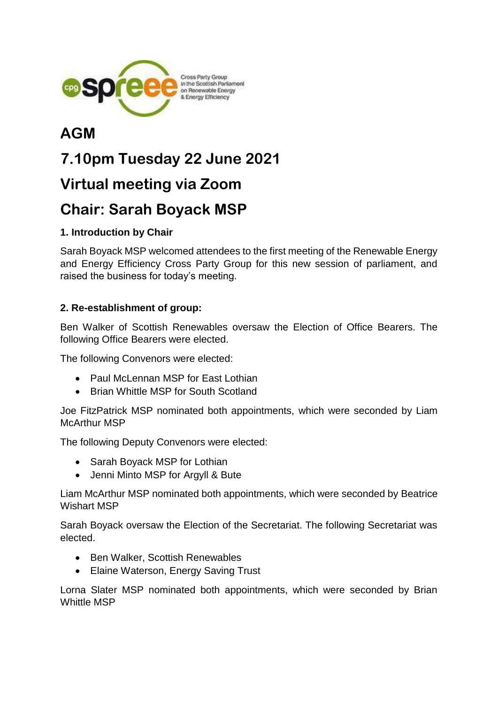

## **AGM**

# **7.10pm Tuesday 22 June 2021**

### **Virtual meeting via Zoom**

# **Chair: Sarah Boyack MSP**

#### **1. Introduction by Chair**

Sarah Boyack MSP welcomed attendees to the first meeting of the Renewable Energy and Energy Efficiency Cross Party Group for this new session of parliament, and raised the business for today's meeting.

#### **2. Re-establishment of group:**

Ben Walker of Scottish Renewables oversaw the Election of Office Bearers. The following Office Bearers were elected.

The following Convenors were elected:

- Paul McLennan MSP for East Lothian
- Brian Whittle MSP for South Scotland

Joe FitzPatrick MSP nominated both appointments, which were seconded by Liam McArthur MSP

The following Deputy Convenors were elected:

- Sarah Boyack MSP for Lothian
- Jenni Minto MSP for Argyll & Bute

Liam McArthur MSP nominated both appointments, which were seconded by Beatrice Wishart MSP

Sarah Boyack oversaw the Election of the Secretariat. The following Secretariat was elected.

- Ben Walker, Scottish Renewables
- Elaine Waterson, Energy Saving Trust

Lorna Slater MSP nominated both appointments, which were seconded by Brian Whittle MSP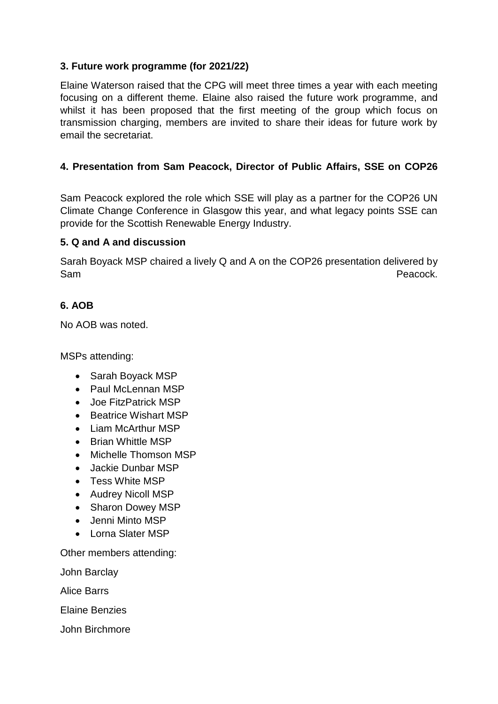#### **3. Future work programme (for 2021/22)**

Elaine Waterson raised that the CPG will meet three times a year with each meeting focusing on a different theme. Elaine also raised the future work programme, and whilst it has been proposed that the first meeting of the group which focus on transmission charging, members are invited to share their ideas for future work by email the secretariat.

#### **4. Presentation from Sam Peacock, Director of Public Affairs, SSE on COP26**

Sam Peacock explored the role which SSE will play as a partner for the COP26 UN Climate Change Conference in Glasgow this year, and what legacy points SSE can provide for the Scottish Renewable Energy Industry.

#### **5. Q and A and discussion**

Sarah Boyack MSP chaired a lively Q and A on the COP26 presentation delivered by Sam **Peacock.** 

#### **6. AOB**

No AOB was noted.

MSPs attending:

- Sarah Boyack MSP
- Paul McLennan MSP
- Joe FitzPatrick MSP
- Beatrice Wishart MSP
- Liam McArthur MSP
- Brian Whittle MSP
- Michelle Thomson MSP
- Jackie Dunbar MSP
- Tess White MSP
- Audrey Nicoll MSP
- Sharon Dowey MSP
- Jenni Minto MSP
- Lorna Slater MSP

Other members attending:

John Barclay

Alice Barrs

Elaine Benzies

John Birchmore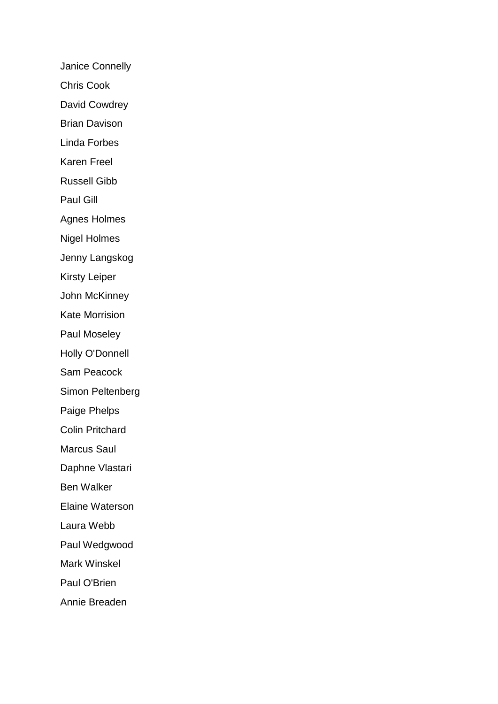Janice Connelly Chris Cook David Cowdrey Brian Davison Linda Forbes Karen Freel Russell Gibb Paul Gill Agnes Holmes Nigel Holmes Jenny Langskog Kirsty Leiper John McKinney Kate Morrision Paul Moseley Holly O'Donnell Sam Peacock Simon Peltenberg Paige Phelps Colin Pritchard Marcus Saul Daphne Vlastari Ben Walker Elaine Waterson Laura Webb Paul Wedgwood Mark Winskel Paul O'Brien Annie Breaden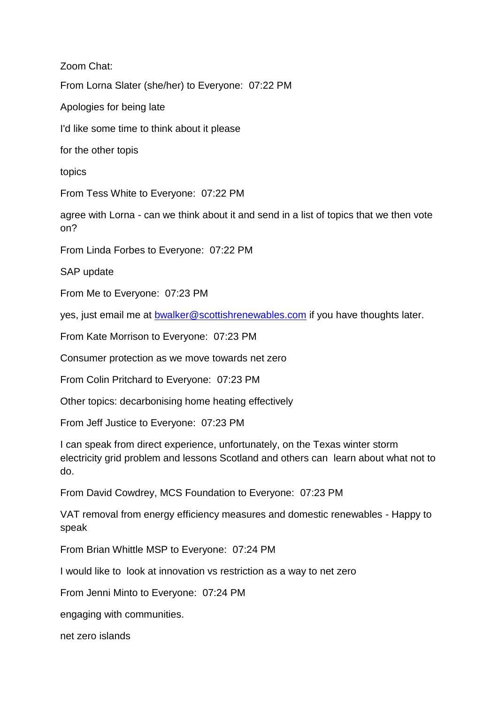Zoom Chat: From Lorna Slater (she/her) to Everyone: 07:22 PM Apologies for being late I'd like some time to think about it please for the other topis topics From Tess White to Everyone: 07:22 PM agree with Lorna - can we think about it and send in a list of topics that we then vote on? From Linda Forbes to Everyone: 07:22 PM SAP update From Me to Everyone: 07:23 PM yes, just email me at [bwalker@scottishrenewables.com](mailto:bwalker@scottishrenewables.com) if you have thoughts later. From Kate Morrison to Everyone: 07:23 PM Consumer protection as we move towards net zero From Colin Pritchard to Everyone: 07:23 PM Other topics: decarbonising home heating effectively From Jeff Justice to Everyone: 07:23 PM I can speak from direct experience, unfortunately, on the Texas winter storm electricity grid problem and lessons Scotland and others can learn about what not to do. From David Cowdrey, MCS Foundation to Everyone: 07:23 PM VAT removal from energy efficiency measures and domestic renewables - Happy to speak From Brian Whittle MSP to Everyone: 07:24 PM I would like to look at innovation vs restriction as a way to net zero From Jenni Minto to Everyone: 07:24 PM engaging with communities.

net zero islands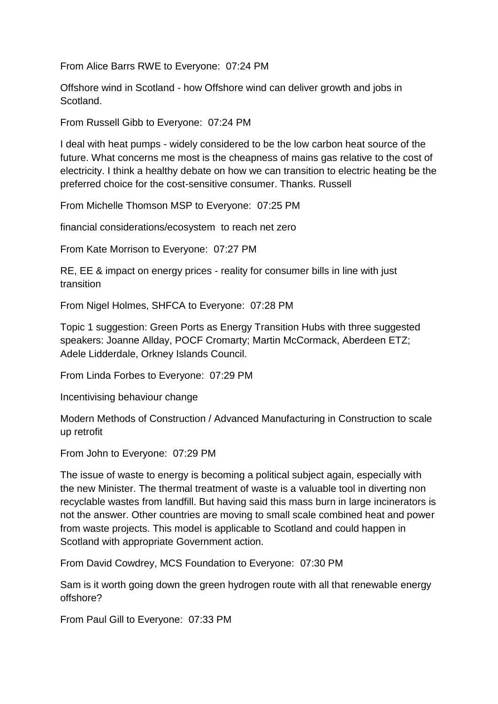From Alice Barrs RWE to Everyone: 07:24 PM

Offshore wind in Scotland - how Offshore wind can deliver growth and jobs in Scotland.

From Russell Gibb to Everyone: 07:24 PM

I deal with heat pumps - widely considered to be the low carbon heat source of the future. What concerns me most is the cheapness of mains gas relative to the cost of electricity. I think a healthy debate on how we can transition to electric heating be the preferred choice for the cost-sensitive consumer. Thanks. Russell

From Michelle Thomson MSP to Everyone: 07:25 PM

financial considerations/ecosystem to reach net zero

From Kate Morrison to Everyone: 07:27 PM

RE, EE & impact on energy prices - reality for consumer bills in line with just transition

From Nigel Holmes, SHFCA to Everyone: 07:28 PM

Topic 1 suggestion: Green Ports as Energy Transition Hubs with three suggested speakers: Joanne Allday, POCF Cromarty; Martin McCormack, Aberdeen ETZ; Adele Lidderdale, Orkney Islands Council.

From Linda Forbes to Everyone: 07:29 PM

Incentivising behaviour change

Modern Methods of Construction / Advanced Manufacturing in Construction to scale up retrofit

From John to Everyone: 07:29 PM

The issue of waste to energy is becoming a political subject again, especially with the new Minister. The thermal treatment of waste is a valuable tool in diverting non recyclable wastes from landfill. But having said this mass burn in large incinerators is not the answer. Other countries are moving to small scale combined heat and power from waste projects. This model is applicable to Scotland and could happen in Scotland with appropriate Government action.

From David Cowdrey, MCS Foundation to Everyone: 07:30 PM

Sam is it worth going down the green hydrogen route with all that renewable energy offshore?

From Paul Gill to Everyone: 07:33 PM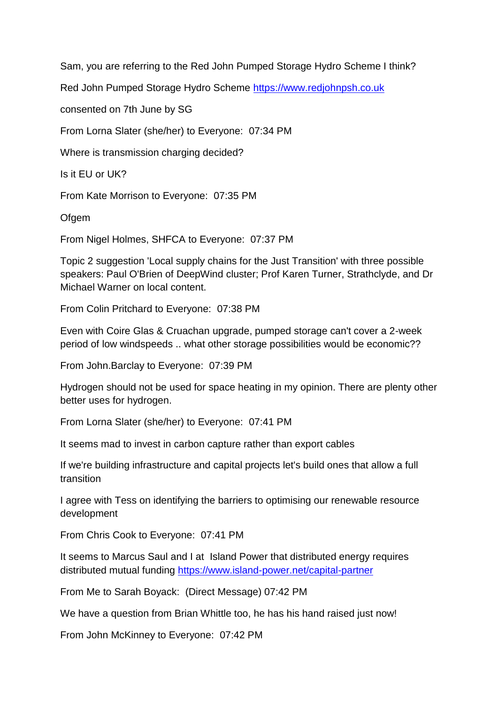Sam, you are referring to the Red John Pumped Storage Hydro Scheme I think?

Red John Pumped Storage Hydro Scheme [https://www.redjohnpsh.co.uk](https://www.redjohnpsh.co.uk/)

consented on 7th June by SG

From Lorna Slater (she/her) to Everyone: 07:34 PM

Where is transmission charging decided?

Is it EU or UK?

From Kate Morrison to Everyone: 07:35 PM

**Ofgem** 

From Nigel Holmes, SHFCA to Everyone: 07:37 PM

Topic 2 suggestion 'Local supply chains for the Just Transition' with three possible speakers: Paul O'Brien of DeepWind cluster; Prof Karen Turner, Strathclyde, and Dr Michael Warner on local content.

From Colin Pritchard to Everyone: 07:38 PM

Even with Coire Glas & Cruachan upgrade, pumped storage can't cover a 2-week period of low windspeeds .. what other storage possibilities would be economic??

From John.Barclay to Everyone: 07:39 PM

Hydrogen should not be used for space heating in my opinion. There are plenty other better uses for hydrogen.

From Lorna Slater (she/her) to Everyone: 07:41 PM

It seems mad to invest in carbon capture rather than export cables

If we're building infrastructure and capital projects let's build ones that allow a full transition

I agree with Tess on identifying the barriers to optimising our renewable resource development

From Chris Cook to Everyone: 07:41 PM

It seems to Marcus Saul and I at Island Power that distributed energy requires distributed mutual funding<https://www.island-power.net/capital-partner>

From Me to Sarah Boyack: (Direct Message) 07:42 PM

We have a question from Brian Whittle too, he has his hand raised just now!

From John McKinney to Everyone: 07:42 PM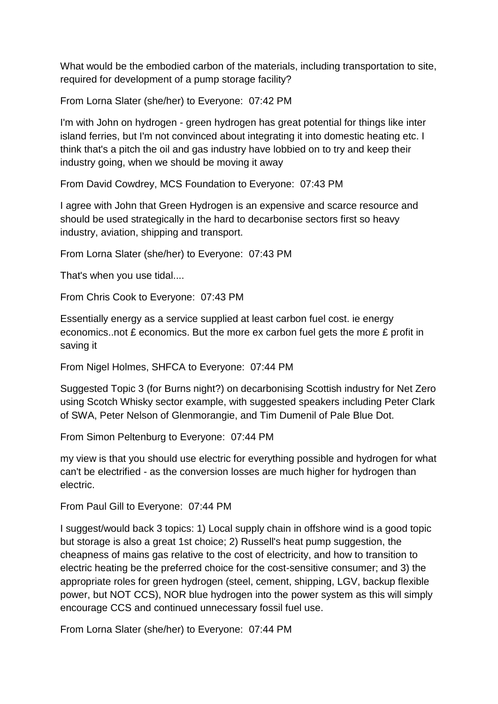What would be the embodied carbon of the materials, including transportation to site, required for development of a pump storage facility?

From Lorna Slater (she/her) to Everyone: 07:42 PM

I'm with John on hydrogen - green hydrogen has great potential for things like inter island ferries, but I'm not convinced about integrating it into domestic heating etc. I think that's a pitch the oil and gas industry have lobbied on to try and keep their industry going, when we should be moving it away

From David Cowdrey, MCS Foundation to Everyone: 07:43 PM

I agree with John that Green Hydrogen is an expensive and scarce resource and should be used strategically in the hard to decarbonise sectors first so heavy industry, aviation, shipping and transport.

From Lorna Slater (she/her) to Everyone: 07:43 PM

That's when you use tidal....

From Chris Cook to Everyone: 07:43 PM

Essentially energy as a service supplied at least carbon fuel cost. ie energy economics..not £ economics. But the more ex carbon fuel gets the more £ profit in saving it

From Nigel Holmes, SHFCA to Everyone: 07:44 PM

Suggested Topic 3 (for Burns night?) on decarbonising Scottish industry for Net Zero using Scotch Whisky sector example, with suggested speakers including Peter Clark of SWA, Peter Nelson of Glenmorangie, and Tim Dumenil of Pale Blue Dot.

From Simon Peltenburg to Everyone: 07:44 PM

my view is that you should use electric for everything possible and hydrogen for what can't be electrified - as the conversion losses are much higher for hydrogen than electric.

From Paul Gill to Everyone: 07:44 PM

I suggest/would back 3 topics: 1) Local supply chain in offshore wind is a good topic but storage is also a great 1st choice; 2) Russell's heat pump suggestion, the cheapness of mains gas relative to the cost of electricity, and how to transition to electric heating be the preferred choice for the cost-sensitive consumer; and 3) the appropriate roles for green hydrogen (steel, cement, shipping, LGV, backup flexible power, but NOT CCS), NOR blue hydrogen into the power system as this will simply encourage CCS and continued unnecessary fossil fuel use.

From Lorna Slater (she/her) to Everyone: 07:44 PM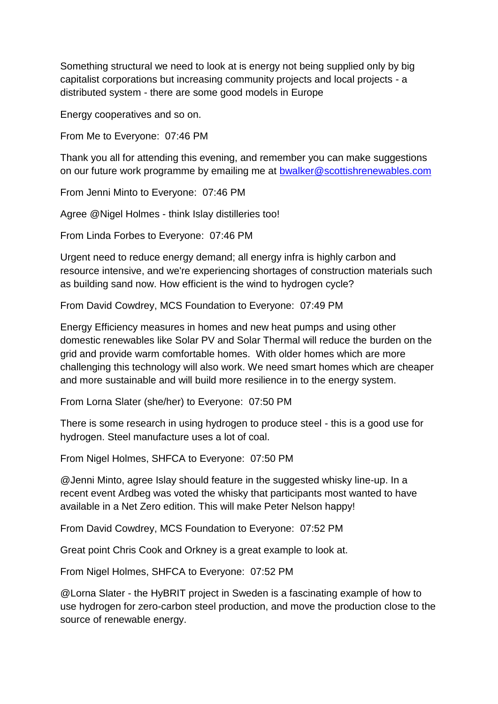Something structural we need to look at is energy not being supplied only by big capitalist corporations but increasing community projects and local projects - a distributed system - there are some good models in Europe

Energy cooperatives and so on.

From Me to Everyone: 07:46 PM

Thank you all for attending this evening, and remember you can make suggestions on our future work programme by emailing me at [bwalker@scottishrenewables.com](mailto:bwalker@scottishrenewables.com)

From Jenni Minto to Everyone: 07:46 PM

Agree @Nigel Holmes - think Islay distilleries too!

From Linda Forbes to Everyone: 07:46 PM

Urgent need to reduce energy demand; all energy infra is highly carbon and resource intensive, and we're experiencing shortages of construction materials such as building sand now. How efficient is the wind to hydrogen cycle?

From David Cowdrey, MCS Foundation to Everyone: 07:49 PM

Energy Efficiency measures in homes and new heat pumps and using other domestic renewables like Solar PV and Solar Thermal will reduce the burden on the grid and provide warm comfortable homes. With older homes which are more challenging this technology will also work. We need smart homes which are cheaper and more sustainable and will build more resilience in to the energy system.

From Lorna Slater (she/her) to Everyone: 07:50 PM

There is some research in using hydrogen to produce steel - this is a good use for hydrogen. Steel manufacture uses a lot of coal.

From Nigel Holmes, SHFCA to Everyone: 07:50 PM

@Jenni Minto, agree Islay should feature in the suggested whisky line-up. In a recent event Ardbeg was voted the whisky that participants most wanted to have available in a Net Zero edition. This will make Peter Nelson happy!

From David Cowdrey, MCS Foundation to Everyone: 07:52 PM

Great point Chris Cook and Orkney is a great example to look at.

From Nigel Holmes, SHFCA to Everyone: 07:52 PM

@Lorna Slater - the HyBRIT project in Sweden is a fascinating example of how to use hydrogen for zero-carbon steel production, and move the production close to the source of renewable energy.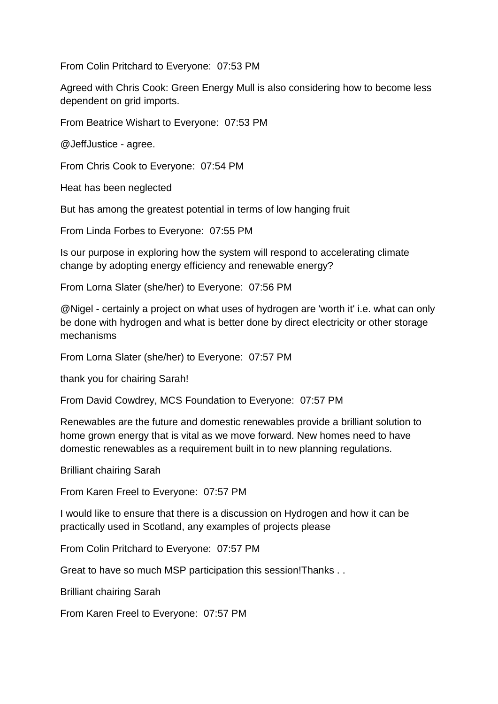From Colin Pritchard to Everyone: 07:53 PM

Agreed with Chris Cook: Green Energy Mull is also considering how to become less dependent on grid imports.

From Beatrice Wishart to Everyone: 07:53 PM

@JeffJustice - agree.

From Chris Cook to Everyone: 07:54 PM

Heat has been neglected

But has among the greatest potential in terms of low hanging fruit

From Linda Forbes to Everyone: 07:55 PM

Is our purpose in exploring how the system will respond to accelerating climate change by adopting energy efficiency and renewable energy?

From Lorna Slater (she/her) to Everyone: 07:56 PM

@Nigel - certainly a project on what uses of hydrogen are 'worth it' i.e. what can only be done with hydrogen and what is better done by direct electricity or other storage mechanisms

From Lorna Slater (she/her) to Everyone: 07:57 PM

thank you for chairing Sarah!

From David Cowdrey, MCS Foundation to Everyone: 07:57 PM

Renewables are the future and domestic renewables provide a brilliant solution to home grown energy that is vital as we move forward. New homes need to have domestic renewables as a requirement built in to new planning regulations.

Brilliant chairing Sarah

From Karen Freel to Everyone: 07:57 PM

I would like to ensure that there is a discussion on Hydrogen and how it can be practically used in Scotland, any examples of projects please

From Colin Pritchard to Everyone: 07:57 PM

Great to have so much MSP participation this session!Thanks . .

Brilliant chairing Sarah

From Karen Freel to Everyone: 07:57 PM